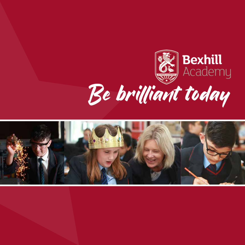

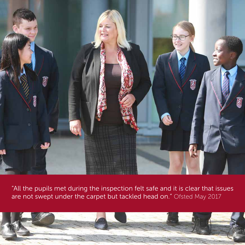

"All the pupils met during the inspection felt safe and it is clear that issues are not swept under the carpet but tackled head on." Ofsted May 2017

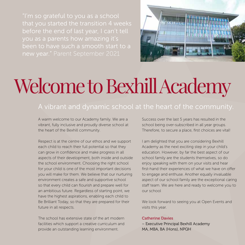"I'm so grateful to you as a school been to have such a smooth start to a



## Welcome to Bexhill Academy

#### A vibrant and dynamic school at the heart of the community.

A warm welcome to our Academy family. We are a vibrant, fully inclusive and proudly diverse school at the heart of the Bexhill community.

Respect is at the centre of our ethos and we support each child to reach their full potential so that they can grow in confidence and make progress in all aspects of their development, both inside and outside the school environment. Choosing the right school for your child is one of the most important decisions you will make for them. We believe that our nurturing environment creates a safe and supportive school so that every child can flourish and prepare well for an ambitious future. Regardless of starting point, we have the highest aspirations, enabling each child to Be Brilliant Today, so that they are prepared for their future in all respects.

The school has extensive state of the art modern facilities which support a creative curriculum and provide an outstanding learning environment.

Success over the last 5 years has resulted in the school being over-subscribed in all year groups. Therefore, to secure a place, first choices are vital!

I am delighted that you are considering Bexhill Academy as the next exciting step in your child's education. However, by far the best aspect of our school family are the students themselves, so do enjoy speaking with them on your visits and hear first-hand their experiences of what we have on offer to engage and enthuse. Another equally invaluable aspect of our school family are the exceptional caring staff team. We are here and ready to welcome you to our school

We look forward to seeing you at Open Events and visits this year.

#### Catherine Davies

– Executive Principal Bexhill Academy MA, MBA, BA (Hons), NPQH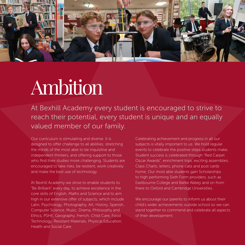

### Ambition

At Bexhill Academy every student is encouraged to strive to reach their potential, every student is unique and an equally valued member of our family.

Our curriculum is stimulating and diverse. It is designed to offer challenge to all abilities; stretching the minds of the most able to be inquisitive and independent thinkers, and offering support to those who find their studies more challenging. Students are encouraged to take risks, be resilient, work creatively and make the best use of technology.

At Bexhill Academy we strive to enable students to "Be Brilliant" every day, to achieve excellence in the core skills of English, Maths and Science and to aim high in our extensive offer of subjects, which include Latin, Psychology, Photography, Art, History, Spanish, Computer Science, Music, Drama, Philosophy and Ethics, PSHE, Geography, French, Child Care, Food Technology, Resistant Materials, Physical Education, Health and Social Care.

Celebrating achievement and progress in all our subjects is vitally important to us. We hold regular events to celebrate the positive steps students make. Student success is celebrated through "Red Carpet Oscar Awards", enrichment trips, exciting assemblies, Class Charts, letters, phone calls and post cards home. Our most able students gain Scholarships to high performing Sixth Form providers, such as Eastbourne College and Battle Abbey and on from there to Oxford and Cambridge Universities.

We encourage our parents to inform us about their child's wider achievements outside school so we can stand together to commend and celebrate all aspects of their development.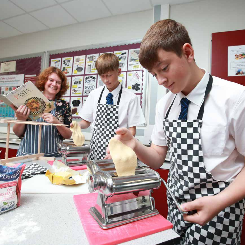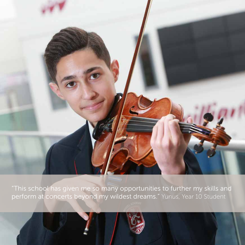

"This school has given me so many opportunities to further my skills and perform at concerts beyond my wildest dreams." Yunus, Year 10 Student

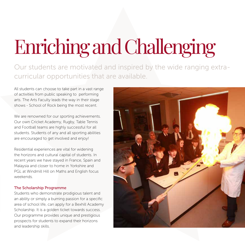# Enriching and Challenging

Our students are motivated and inspired by the wide ranging extracurricular opportunities that are available.

All students can choose to take part in a vast range of activities from public speaking to performing arts. The Arts Faculty leads the way in their stage shows - School of Rock being the most recent.

We are renowned for our sporting achievements. Our own Cricket Academy, Rugby, Table Tennis and Football teams are highly successful for all students. Students of any and all sporting abilities are encouraged to get involved and enjoy!

Residential experiences are vital for widening the horizons and cultural capital of students. In recent years we have stayed in France, Spain and Malaysia and closer to home in Yorkshire and PGL at Windmill Hill on Maths and English focus weekends.

#### The Scholarship Programme

Students who demonstrate prodigious talent and an ability or simply a burning passion for a specific area of school life, can apply for a Bexhill Academy Scholarship. It is a golden ticket towards success. Our programme provides unique and prestigious prospects for students to expand their horizons and leadership skills.

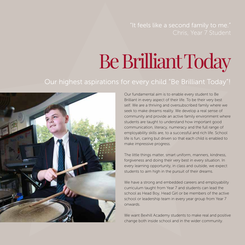## Be Brilliant Today

#### Our highest aspirations for every child "Be Brilliant Today"!



Our fundamental aim is to enable every student to Be Brilliant in every aspect of their life. To be their very best self. We are a thriving and oversubscribed family where we seek to make dreams reality. We develop a real sense of community and provide an active family environment where students are taught to understand how important good communication, literacy, numeracy and the full range of employability skills are, to a successful and rich life. School life is fun, caring but driven so that each child is enabled to make impressive progress.

The little things matter, smart uniform, manners, kindness, forgiveness and doing their very best in every situation. In every learning opportunity, in class and outside, we expect students to aim high in the pursuit of their dreams.

We have a strong and embedded careers and employability curriculum taught from Year 7 and students can lead the school as Head Boy, Head Girl or be members of the active school or leadership team in every year group from Year 7 onwards.

We want Bexhill Academy students to make real and positive change both inside school and in the wider community.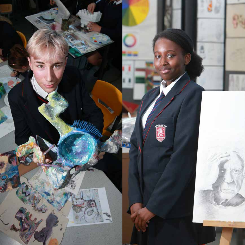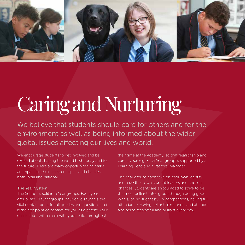

## Caring and Nurturing

We believe that students should care for others and for the environment as well as being informed about the wider global issues affecting our lives and world.

We encourage students to get involved and be excited about shaping the world both today and for the future. There are many opportunities to make an impact on their selected topics and charities both local and national.

#### The Year System

The School is split into Year groups. Each year group has 10 tutor groups. Your child's tutor is the vital contact point for all queries and questions and is the first point of contact for you as a parent. Your child's tutor will remain with your child throughout

their time at the Academy, so that relationship and care are strong. Each Year group is supported by a Learning Lead and a Pastoral Manager.

The Year groups each take on their own identity and have their own student leaders and chosen charities. Students are encouraged to strive to be the most brilliant tutor group through doing good works, being successful in competitions, having full attendance, having delightful manners and attitudes and being respectful and brilliant every day.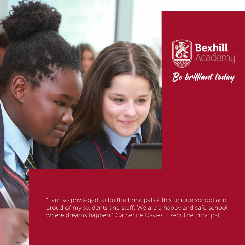



"I am so privileged to be the Principal of this unique school and proud of my students and staff. We are a happy and safe school where dreams happen." Catherine Davies, Executive Principal